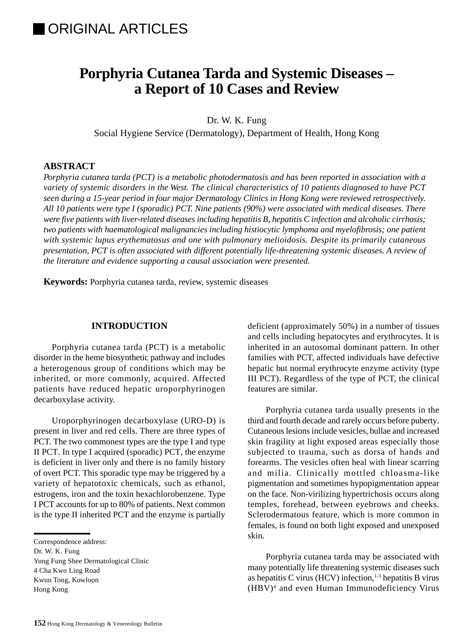# **Porphyria Cutanea Tarda and Systemic Diseases – a Report of 10 Cases and Review**

Dr. W. K. Fung

Social Hygiene Service (Dermatology), Department of Health, Hong Kong

#### **ABSTRACT**

*Porphyria cutanea tarda (PCT) is a metabolic photodermatosis and has been reported in association with a variety of systemic disorders in the West. The clinical characteristics of 10 patients diagnosed to have PCT seen during a 15-year period in four major Dermatology Clinics in Hong Kong were reviewed retrospectively. All 10 patients were type I (sporadic) PCT. Nine patients (90%) were associated with medical diseases. There were five patients with liver-related diseases including hepatitis B, hepatitis C infection and alcoholic cirrhosis; two patients with haematological malignancies including histiocytic lymphoma and myelofibrosis; one patient with systemic lupus erythematosus and one with pulmonary melioidosis. Despite its primarily cutaneous presentation, PCT is often associated with different potentially life-threatening systemic diseases. A review of the literature and evidence supporting a causal association were presented.*

**Keywords:** Porphyria cutanea tarda, review, systemic diseases

# **INTRODUCTION**

Porphyria cutanea tarda (PCT) is a metabolic disorder in the heme biosynthetic pathway and includes a heterogenous group of conditions which may be inherited, or more commonly, acquired. Affected patients have reduced hepatic uroporphyrinogen decarboxylase activity.

Uroporphyrinogen decarboxylase (URO-D) is present in liver and red cells. There are three types of PCT. The two commonest types are the type I and type II PCT. In type I acquired (sporadic) PCT, the enzyme is deficient in liver only and there is no family history of overt PCT. This sporadic type may be triggered by a variety of hepatotoxic chemicals, such as ethanol, estrogens, iron and the toxin hexachlorobenzene. Type I PCT accounts for up to 80% of patients. Next common is the type II inherited PCT and the enzyme is partially

Correspondence address:

Yung Fung Shee Dermatological Clinic 4 Cha Kwo Ling Road Kwun Tong, Kowloon

Hong Kong

deficient (approximately 50%) in a number of tissues and cells including hepatocytes and erythrocytes. It is inherited in an autosomal dominant pattern. In other families with PCT, affected individuals have defective hepatic but normal erythrocyte enzyme activity (type III PCT). Regardless of the type of PCT, the clinical features are similar.

Porphyria cutanea tarda usually presents in the third and fourth decade and rarely occurs before puberty. Cutaneous lesions include vesicles, bullae and increased skin fragility at light exposed areas especially those subjected to trauma, such as dorsa of hands and forearms. The vesicles often heal with linear scarring and milia. Clinically mottled chloasma-like pigmentation and sometimes hypopigmentation appear on the face. Non-virilizing hypertrichosis occurs along temples, forehead, between eyebrows and cheeks. Sclerodermatous feature, which is more common in females, is found on both light exposed and unexposed skin.

Porphyria cutanea tarda may be associated with many potentially life threatening systemic diseases such as hepatitis C virus (HCV) infection, $1-3$  hepatitis B virus (HBV)4 and even Human Immunodeficiency Virus

Dr. W. K. Fung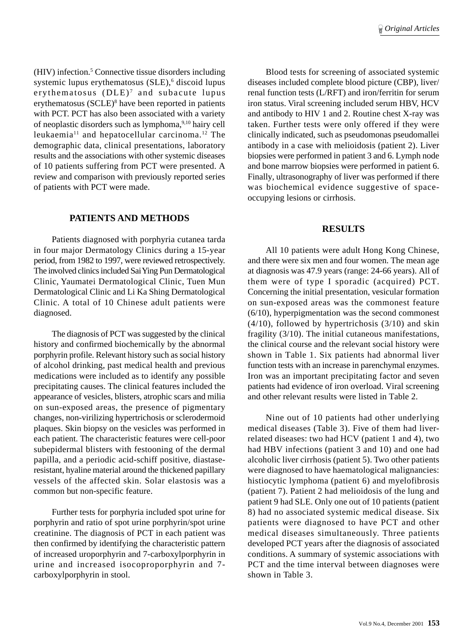(HIV) infection.<sup>5</sup> Connective tissue disorders including systemic lupus erythematosus (SLE),<sup>6</sup> discoid lupus erythematosus  $(DLE)^7$  and subacute lupus erythematosus (SCLE)8 have been reported in patients with PCT. PCT has also been associated with a variety of neoplastic disorders such as lymphoma,9,10 hairy cell leukaemia11 and hepatocellular carcinoma.12 The demographic data, clinical presentations, laboratory results and the associations with other systemic diseases of 10 patients suffering from PCT were presented. A review and comparison with previously reported series of patients with PCT were made.

### **PATIENTS AND METHODS**

Patients diagnosed with porphyria cutanea tarda in four major Dermatology Clinics during a 15-year period, from 1982 to 1997, were reviewed retrospectively. The involved clinics included Sai Ying Pun Dermatological Clinic, Yaumatei Dermatological Clinic, Tuen Mun Dermatological Clinic and Li Ka Shing Dermatological Clinic. A total of 10 Chinese adult patients were diagnosed.

The diagnosis of PCT was suggested by the clinical history and confirmed biochemically by the abnormal porphyrin profile. Relevant history such as social history of alcohol drinking, past medical health and previous medications were included as to identify any possible precipitating causes. The clinical features included the appearance of vesicles, blisters, atrophic scars and milia on sun-exposed areas, the presence of pigmentary changes, non-virilizing hypertrichosis or sclerodermoid plaques. Skin biopsy on the vesicles was performed in each patient. The characteristic features were cell-poor subepidermal blisters with festooning of the dermal papilla, and a periodic acid-schiff positive, diastaseresistant, hyaline material around the thickened papillary vessels of the affected skin. Solar elastosis was a common but non-specific feature.

Further tests for porphyria included spot urine for porphyrin and ratio of spot urine porphyrin/spot urine creatinine. The diagnosis of PCT in each patient was then confirmed by identifying the characteristic pattern of increased uroporphyrin and 7-carboxylporphyrin in urine and increased isocoproporphyrin and 7 carboxylporphyrin in stool.

Blood tests for screening of associated systemic diseases included complete blood picture (CBP), liver/ renal function tests (L/RFT) and iron/ferritin for serum iron status. Viral screening included serum HBV, HCV and antibody to HIV 1 and 2. Routine chest X-ray was taken. Further tests were only offered if they were clinically indicated, such as pseudomonas pseudomallei antibody in a case with melioidosis (patient 2). Liver biopsies were performed in patient 3 and 6. Lymph node and bone marrow biopsies were performed in patient 6. Finally, ultrasonography of liver was performed if there was biochemical evidence suggestive of spaceoccupying lesions or cirrhosis.

### **RESULTS**

All 10 patients were adult Hong Kong Chinese, and there were six men and four women. The mean age at diagnosis was 47.9 years (range: 24-66 years). All of them were of type I sporadic (acquired) PCT. Concerning the initial presentation, vesicular formation on sun-exposed areas was the commonest feature (6/10), hyperpigmentation was the second commonest  $(4/10)$ , followed by hypertrichosis  $(3/10)$  and skin fragility (3/10). The initial cutaneous manifestations, the clinical course and the relevant social history were shown in Table 1. Six patients had abnormal liver function tests with an increase in parenchymal enzymes. Iron was an important precipitating factor and seven patients had evidence of iron overload. Viral screening and other relevant results were listed in Table 2.

Nine out of 10 patients had other underlying medical diseases (Table 3). Five of them had liverrelated diseases: two had HCV (patient 1 and 4), two had HBV infections (patient 3 and 10) and one had alcoholic liver cirrhosis (patient 5). Two other patients were diagnosed to have haematological malignancies: histiocytic lymphoma (patient 6) and myelofibrosis (patient 7). Patient 2 had melioidosis of the lung and patient 9 had SLE. Only one out of 10 patients (patient 8) had no associated systemic medical disease. Six patients were diagnosed to have PCT and other medical diseases simultaneously. Three patients developed PCT years after the diagnosis of associated conditions. A summary of systemic associations with PCT and the time interval between diagnoses were shown in Table 3.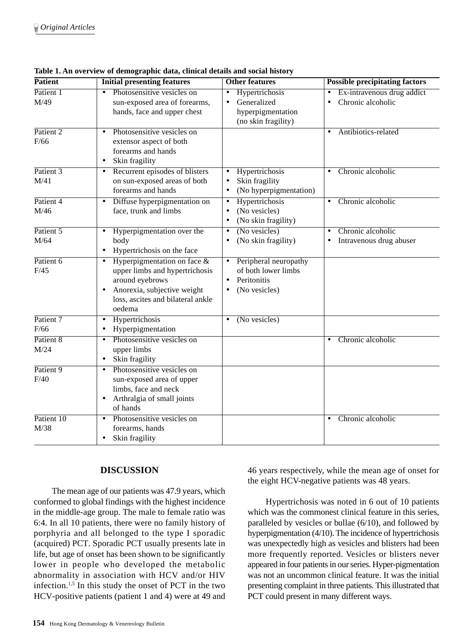| <b>Patient</b>     | <b>Initial presenting features</b>                                                                                                                                             | <b>Other features</b>                                                                                  | <b>Possible precipitating factors</b>                                  |  |
|--------------------|--------------------------------------------------------------------------------------------------------------------------------------------------------------------------------|--------------------------------------------------------------------------------------------------------|------------------------------------------------------------------------|--|
| Patient 1<br>M/49  | Photosensitive vesicles on<br>sun-exposed area of forearms,<br>hands, face and upper chest                                                                                     | Hypertrichosis<br>Generalized<br>hyperpigmentation<br>(no skin fragility)                              | Ex-intravenous drug addict<br>Chronic alcoholic<br>$\bullet$           |  |
| Patient 2<br>F/66  | Photosensitive vesicles on<br>$\bullet$<br>extensor aspect of both<br>forearms and hands<br>Skin fragility<br>$\bullet$                                                        |                                                                                                        | Antibiotics-related<br>$\bullet$                                       |  |
| Patient 3<br>M/41  | Recurrent episodes of blisters<br>٠<br>on sun-exposed areas of both<br>forearms and hands                                                                                      | Hypertrichosis<br>Skin fragility<br>(No hyperpigmentation)                                             | Chronic alcoholic                                                      |  |
| Patient 4<br>M/46  | Diffuse hyperpigmentation on<br>$\bullet$<br>face, trunk and limbs                                                                                                             | Hypertrichosis<br>$\bullet$<br>(No vesicles)<br>$\bullet$<br>(No skin fragility)<br>$\bullet$          | Chronic alcoholic<br>$\bullet$                                         |  |
| Patient 5<br>M/64  | Hyperpigmentation over the<br>$\bullet$<br>body<br>Hypertrichosis on the face<br>٠                                                                                             | (No vesicles)<br>$\bullet$<br>(No skin fragility)<br>$\bullet$                                         | Chronic alcoholic<br>$\bullet$<br>Intravenous drug abuser<br>$\bullet$ |  |
| Patient 6<br>F/45  | Hyperpigmentation on face $\&$<br>$\bullet$<br>upper limbs and hypertrichosis<br>around eyebrows<br>Anorexia, subjective weight<br>loss, ascites and bilateral ankle<br>oedema | Peripheral neuropathy<br>$\bullet$<br>of both lower limbs<br>Peritonitis<br>(No vesicles)<br>$\bullet$ |                                                                        |  |
| Patient 7<br>F/66  | Hypertrichosis<br>$\bullet$<br>Hyperpigmentation<br>$\bullet$                                                                                                                  | (No vesicles)<br>$\bullet$                                                                             |                                                                        |  |
| Patient 8<br>M/24  | Photosensitive vesicles on<br>$\bullet$<br>upper limbs<br>Skin fragility<br>$\bullet$                                                                                          |                                                                                                        | Chronic alcoholic<br>$\bullet$                                         |  |
| Patient 9<br>F/40  | Photosensitive vesicles on<br>$\bullet$<br>sun-exposed area of upper<br>limbs, face and neck<br>Arthralgia of small joints<br>$\bullet$<br>of hands                            |                                                                                                        |                                                                        |  |
| Patient 10<br>M/38 | Photosensitive vesicles on<br>$\bullet$<br>forearms, hands<br>Skin fragility<br>٠                                                                                              |                                                                                                        | Chronic alcoholic<br>$\bullet$                                         |  |

**Table 1. An overview of demographic data, clinical details and social history**

# **DISCUSSION**

The mean age of our patients was 47.9 years, which conformed to global findings with the highest incidence in the middle-age group. The male to female ratio was 6:4. In all 10 patients, there were no family history of porphyria and all belonged to the type I sporadic (acquired) PCT. Sporadic PCT usually presents late in life, but age of onset has been shown to be significantly lower in people who developed the metabolic abnormality in association with HCV and/or HIV infection.1,5 In this study the onset of PCT in the two HCV-positive patients (patient 1 and 4) were at 49 and

46 years respectively, while the mean age of onset for the eight HCV-negative patients was 48 years.

Hypertrichosis was noted in 6 out of 10 patients which was the commonest clinical feature in this series, paralleled by vesicles or bullae (6/10), and followed by hyperpigmentation (4/10). The incidence of hypertrichosis was unexpectedly high as vesicles and blisters had been more frequently reported. Vesicles or blisters never appeared in four patients in our series. Hyper-pigmentation was not an uncommon clinical feature. It was the initial presenting complaint in three patients. This illustrated that PCT could present in many different ways.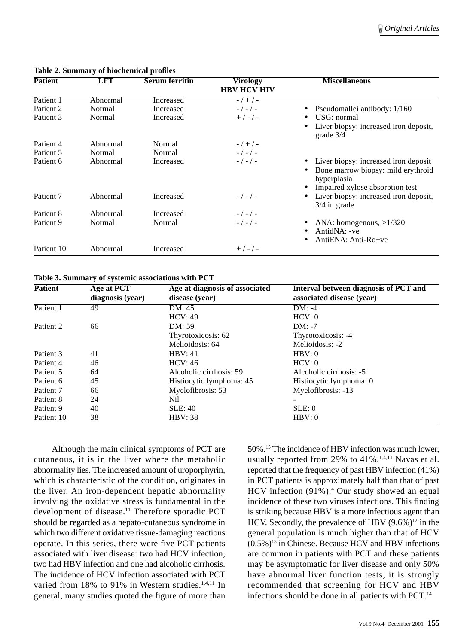| <b>Patient</b>       | <b>LFT</b> | <b>Serum ferritin</b> | Virology<br><b>HBV HCV HIV</b> | <b>Miscellaneous</b>                                    |
|----------------------|------------|-----------------------|--------------------------------|---------------------------------------------------------|
| Patient 1            | Abnormal   | Increased             | $-7+7-$                        |                                                         |
| Patient <sub>2</sub> | Normal     | Increased             | $-/-/-$                        | Pseudomallei antibody: 1/160                            |
| Patient 3            | Normal     | Increased             | $+$ / - / -                    | USG: normal                                             |
|                      |            |                       |                                | Liver biopsy: increased iron deposit,<br>grade $3/4$    |
| Patient 4            | Abnormal   | Normal                | $-7+7-$                        |                                                         |
| Patient 5            | Normal     | Normal                | $-/-/-$                        |                                                         |
| Patient 6            | Abnormal   | Increased             | $-/-/-$                        | Liver biopsy: increased iron deposit                    |
|                      |            |                       |                                | Bone marrow biopsy: mild erythroid<br>hyperplasia       |
|                      |            |                       |                                | Impaired xylose absorption test                         |
| Patient 7            | Abnormal   | Increased             | $-/-/-$                        | Liver biopsy: increased iron deposit,<br>$3/4$ in grade |
| Patient 8            | Abnormal   | Increased             | $-/-/-$                        |                                                         |
| Patient 9            | Normal     | Normal                | $-/-/-$                        | ANA: homogenous, $>1/320$                               |
|                      |            |                       |                                | AntidNA: -ve<br>AntiENA: Anti-Ro+ve                     |
| Patient 10           | Abnormal   | Increased             | $+$ / - / -                    |                                                         |

#### **Table 2. Summary of biochemical profiles**

**Table 3. Summary of systemic associations with PCT**

| <b>Patient</b> | Age at PCT<br>diagnosis (year) | Age at diagnosis of associated<br>disease (year) | Interval between diagnosis of PCT and<br>associated disease (year) |
|----------------|--------------------------------|--------------------------------------------------|--------------------------------------------------------------------|
| Patient 1      | 49                             | DM: 45                                           | DM: -4                                                             |
|                |                                | HCV: 49                                          | HCV: 0                                                             |
| Patient 2      | 66                             | DM: 59                                           | $DM: -7$                                                           |
|                |                                | Thyrotoxicosis: 62                               | Thyrotoxicosis: -4                                                 |
|                |                                | Melioidosis: 64                                  | Melioidosis: -2                                                    |
| Patient 3      | 41                             | HBV:41                                           | HBV:0                                                              |
| Patient 4      | 46                             | HCV: 46                                          | HCV: 0                                                             |
| Patient 5      | 64                             | Alcoholic cirrhosis: 59                          | Alcoholic cirrhosis: -5                                            |
| Patient 6      | 45                             | Histiocytic lymphoma: 45                         | Histiocytic lymphoma: 0                                            |
| Patient 7      | 66                             | Myelofibrosis: 53                                | Myelofibrosis: -13                                                 |
| Patient 8      | 24                             | Nil                                              |                                                                    |
| Patient 9      | 40                             | <b>SLE: 40</b>                                   | SLE: 0                                                             |
| Patient 10     | 38                             | <b>HBV</b> : 38                                  | HBV:0                                                              |

Although the main clinical symptoms of PCT are cutaneous, it is in the liver where the metabolic abnormality lies. The increased amount of uroporphyrin, which is characteristic of the condition, originates in the liver. An iron-dependent hepatic abnormality involving the oxidative stress is fundamental in the development of disease.<sup>11</sup> Therefore sporadic PCT should be regarded as a hepato-cutaneous syndrome in which two different oxidative tissue-damaging reactions operate. In this series, there were five PCT patients associated with liver disease: two had HCV infection, two had HBV infection and one had alcoholic cirrhosis. The incidence of HCV infection associated with PCT varied from 18% to 91% in Western studies.<sup>1,4,11</sup> In general, many studies quoted the figure of more than

50%.15 The incidence of HBV infection was much lower, usually reported from 29% to 41%.<sup>1,4,11</sup> Navas et al. reported that the frequency of past HBV infection (41%) in PCT patients is approximately half than that of past HCV infection (91%).<sup>4</sup> Our study showed an equal incidence of these two viruses infections. This finding is striking because HBV is a more infectious agent than HCV. Secondly, the prevalence of HBV  $(9.6\%)^{12}$  in the general population is much higher than that of HCV  $(0.5\%)$ <sup>13</sup> in Chinese. Because HCV and HBV infections are common in patients with PCT and these patients may be asymptomatic for liver disease and only 50% have abnormal liver function tests, it is strongly recommended that screening for HCV and HBV infections should be done in all patients with PCT.<sup>14</sup>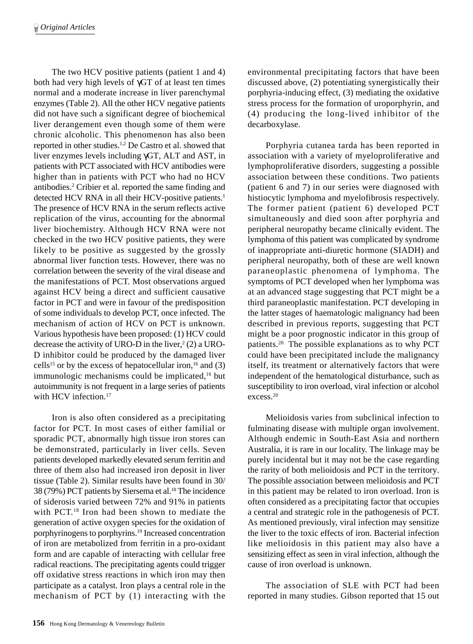The two HCV positive patients (patient 1 and 4) both had very high levels of γGT of at least ten times normal and a moderate increase in liver parenchymal enzymes (Table 2). All the other HCV negative patients did not have such a significant degree of biochemical liver derangement even though some of them were chronic alcoholic. This phenomenon has also been reported in other studies.1,2 De Castro et al. showed that liver enzymes levels including γGT, ALT and AST, in patients with PCT associated with HCV antibodies were higher than in patients with PCT who had no HCV antibodies.2 Cribier et al. reported the same finding and detected HCV RNA in all their HCV-positive patients.<sup>1</sup> The presence of HCV RNA in the serum reflects active replication of the virus, accounting for the abnormal liver biochemistry. Although HCV RNA were not checked in the two HCV positive patients, they were likely to be positive as suggested by the grossly abnormal liver function tests. However, there was no correlation between the severity of the viral disease and the manifestations of PCT. Most observations argued against HCV being a direct and sufficient causative factor in PCT and were in favour of the predisposition of some individuals to develop PCT, once infected. The mechanism of action of HCV on PCT is unknown. Various hypothesis have been proposed: (1) HCV could decrease the activity of URO-D in the liver, $2(2)$  a URO-D inhibitor could be produced by the damaged liver cells<sup>15</sup> or by the excess of hepatocellular iron,<sup>16</sup> and (3) immunologic mechanisms could be implicated,<sup>16</sup> but autoimmunity is not frequent in a large series of patients with HCV infection.<sup>17</sup>

Iron is also often considered as a precipitating factor for PCT. In most cases of either familial or sporadic PCT, abnormally high tissue iron stores can be demonstrated, particularly in liver cells. Seven patients developed markedly elevated serum ferritin and three of them also had increased iron deposit in liver tissue (Table 2). Similar results have been found in 30/ 38 (79%) PCT patients by Siersema et al.18 The incidence of siderosis varied between 72% and 91% in patients with PCT.<sup>18</sup> Iron had been shown to mediate the generation of active oxygen species for the oxidation of porphyrinogens to porphyrins.19 Increased concentration of iron are metabolized from ferritin in a pro-oxidant form and are capable of interacting with cellular free radical reactions. The precipitating agents could trigger off oxidative stress reactions in which iron may then participate as a catalyst. Iron plays a central role in the mechanism of PCT by (1) interacting with the

environmental precipitating factors that have been discussed above, (2) potentiating synergistically their porphyria-inducing effect, (3) mediating the oxidative stress process for the formation of uroporphyrin, and (4) producing the long-lived inhibitor of the decarboxylase.

Porphyria cutanea tarda has been reported in association with a variety of myeloproliferative and lymphoproliferative disorders, suggesting a possible association between these conditions. Two patients (patient 6 and 7) in our series were diagnosed with histiocytic lymphoma and myelofibrosis respectively. The former patient (patient 6) developed PCT simultaneously and died soon after porphyria and peripheral neuropathy became clinically evident. The lymphoma of this patient was complicated by syndrome of inappropriate anti-diuretic hormone (SIADH) and peripheral neuropathy, both of these are well known paraneoplastic phenomena of lymphoma. The symptoms of PCT developed when her lymphoma was at an advanced stage suggesting that PCT might be a third paraneoplastic manifestation. PCT developing in the latter stages of haematologic malignancy had been described in previous reports, suggesting that PCT might be a poor prognostic indicator in this group of patients.20 The possible explanations as to why PCT could have been precipitated include the malignancy itself, its treatment or alternatively factors that were independent of the hematological disturbance, such as susceptibility to iron overload, viral infection or alcohol excess.20

Melioidosis varies from subclinical infection to fulminating disease with multiple organ involvement. Although endemic in South-East Asia and northern Australia, it is rare in our locality. The linkage may be purely incidental but it may not be the case regarding the rarity of both melioidosis and PCT in the territory. The possible association between melioidosis and PCT in this patient may be related to iron overload. Iron is often considered as a precipitating factor that occupies a central and strategic role in the pathogenesis of PCT. As mentioned previously, viral infection may sensitize the liver to the toxic effects of iron. Bacterial infection like melioidosis in this patient may also have a sensitizing effect as seen in viral infection, although the cause of iron overload is unknown.

The association of SLE with PCT had been reported in many studies. Gibson reported that 15 out